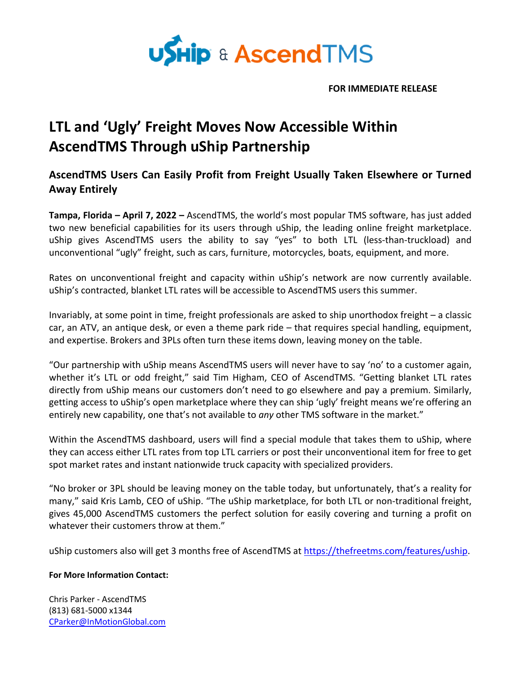

**FOR IMMEDIATE RELEASE**

## **LTL and 'Ugly' Freight Moves Now Accessible Within AscendTMS Through uShip Partnership**

**AscendTMS Users Can Easily Profit from Freight Usually Taken Elsewhere or Turned Away Entirely** 

**Tampa, Florida – April 7, 2022 –** AscendTMS, the world's most popular TMS software, has just added two new beneficial capabilities for its users through uShip, the leading online freight marketplace. uShip gives AscendTMS users the ability to say "yes" to both LTL (less-than-truckload) and unconventional "ugly" freight, such as cars, furniture, motorcycles, boats, equipment, and more.

Rates on unconventional freight and capacity within uShip's network are now currently available. uShip's contracted, blanket LTL rates will be accessible to AscendTMS users this summer.

Invariably, at some point in time, freight professionals are asked to ship unorthodox freight – a classic car, an ATV, an antique desk, or even a theme park ride – that requires special handling, equipment, and expertise. Brokers and 3PLs often turn these items down, leaving money on the table.

"Our partnership with uShip means AscendTMS users will never have to say 'no' to a customer again, whether it's LTL or odd freight," said Tim Higham, CEO of AscendTMS. "Getting blanket LTL rates directly from uShip means our customers don't need to go elsewhere and pay a premium. Similarly, getting access to uShip's open marketplace where they can ship 'ugly' freight means we're offering an entirely new capability, one that's not available to *any* other TMS software in the market."

Within the AscendTMS dashboard, users will find a special module that takes them to uShip, where they can access either LTL rates from top LTL carriers or post their unconventional item for free to get spot market rates and instant nationwide truck capacity with specialized providers.

"No broker or 3PL should be leaving money on the table today, but unfortunately, that's a reality for many," said Kris Lamb, CEO of uShip. "The uShip marketplace, for both LTL or non-traditional freight, gives 45,000 AscendTMS customers the perfect solution for easily covering and turning a profit on whatever their customers throw at them."

uShip customers also will get 3 months free of AscendTMS at https://thefreetms.com/features/uship.

## **For More Information Contact:**

Chris Parker - AscendTMS (813) 681-5000 x1344 CParker@InMotionGlobal.com